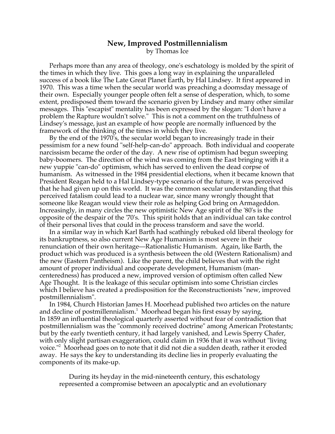## **New, Improved Postmillennialism**

by Thomas Ice

Perhaps more than any area of theology, one's eschatology is molded by the spirit of the times in which they live. This goes a long way in explaining the unparalleled success of a book like The Late Great Planet Earth, by Hal Lindsey. It first appeared in 1970. This was a time when the secular world was preaching a doomsday message of their own. Especially younger people often felt a sense of desperation, which, to some extent, predisposed them toward the scenario given by Lindsey and many other similar messages. This "escapist" mentality has been expressed by the slogan: "I don't have a problem the Rapture wouldn't solve." This is not a comment on the truthfulness of Lindsey's message, just an example of how people are normally influenced by the framework of the thinking of the times in which they live.

By the end of the 1970's, the secular world began to increasingly trade in their pessimism for a new found "self-help-can-do" approach. Both individual and cooperate narcissism became the order of the day. A new rise of optimism had begun sweeping baby-boomers. The direction of the wind was coming from the East bringing with it a new yuppie "can-do" optimism, which has served to enliven the dead corpse of humanism. As witnessed in the 1984 presidential elections, when it became known that President Reagan held to a Hal Lindsey-type scenario of the future, it was perceived that he had given up on this world. It was the common secular understanding that this perceived fatalism could lead to a nuclear war, since many wrongly thought that someone like Reagan would view their role as helping God bring on Armageddon. Increasingly, in many circles the new optimistic New Age spirit of the '80's is the opposite of the despair of the '70's. This spirit holds that an individual can take control of their personal lives that could in the process transform and save the world.

In a similar way in which Karl Barth had scathingly rebuked old liberal theology for its bankruptness, so also current New Age Humanism is most severe in their renunciation of their own heritage—Rationalistic Humanism. Again, like Barth, the product which was produced is a synthesis between the old (Western Rationalism) and the new (Eastern Pantheism). Like the parent, the child believes that with the right amount of proper individual and cooperate development, Humanism (mancenteredness) has produced a new, improved version of optimism often called New Age Thought. It is the leakage of this secular optimism into some Christian circles which I believe has created a predisposition for the Reconstructionists "new, improved postmillennialism".

In 1984, Church Historian James H. Moorhead published two articles on the nature and decline of postmillennialism.<sup>1</sup> Moorhead began his first essay by saying, In 1859 an influential theological quarterly asserted without fear of contradiction that postmillennialism was the "commonly received doctrine" among American Protestants; but by the early twentieth century, it had largely vanished, and Lewis Sperry Chafer, with only slight partisan exaggeration, could claim in 1936 that it was without "living voice."<sup>2</sup> Moorhead goes on to note that it did not die a sudden death, rather it eroded away. He says the key to understanding its decline lies in properly evaluating the components of its make-up.

During its heyday in the mid-nineteenth century, this eschatology represented a compromise between an apocalyptic and an evolutionary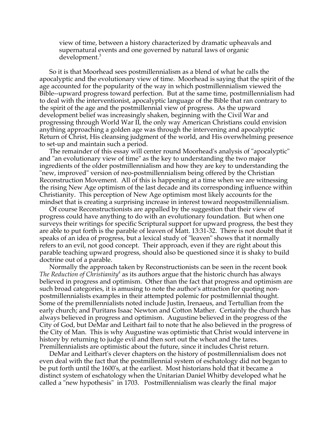view of time, between a history characterized by dramatic upheavals and supernatural events and one governed by natural laws of organic development.<sup>3</sup>

So it is that Moorhead sees postmillennialism as a blend of what he calls the apocalyptic and the evolutionary view of time. Moorhead is saying that the spirit of the age accounted for the popularity of the way in which postmillennialism viewed the Bible--upward progress toward perfection. But at the same time, postmillennialism had to deal with the interventionist, apocalyptic language of the Bible that ran contrary to the spirit of the age and the postmillennial view of progress. As the upward development belief was increasingly shaken, beginning with the Civil War and progressing through World War II, the only way American Christians could envision anything approaching a golden age was through the intervening and apocalyptic Return of Christ, His cleansing judgment of the world, and His overwhelming presence to set-up and maintain such a period.

The remainder of this essay will center round Moorhead's analysis of "apocalyptic" and "an evolutionary view of time" as the key to understanding the two major ingredients of the older postmillennialism and how they are key to understanding the "new, improved" version of neo-postmillennialism being offered by the Christian Reconstruction Movement. All of this is happening at a time when we are witnessing the rising New Age optimism of the last decade and its corresponding influence within Christianity. This perception of New Age optimism most likely accounts for the mindset that is creating a surprising increase in interest toward neopostmillennialism.

Of course Reconstructionists are appalled by the suggestion that their view of progress could have anything to do with an evolutionary foundation. But when one surveys their writings for specific Scriptural support for upward progress, the best they are able to put forth is the parable of leaven of Matt. 13:31-32. There is not doubt that it speaks of an idea of progress, but a lexical study of "leaven" shows that it normally refers to an evil, not good concept. Their approach, even if they are right about this parable teaching upward progress, should also be questioned since it is shaky to build doctrine out of a parable.

Normally the approach taken by Reconstructionists can be seen in the recent book The Reduction of Christianity<sup>4</sup> as its authors argue that the historic church has always believed in progress and optimism. Other than the fact that progress and optimism are such broad categories, it is amusing to note the author's attraction for quoting nonpostmillennialists examples in their attempted polemic for postmillennial thought. Some of the premillennialists noted include Justin, Irenaeus, and Tertullian from the early church; and Puritans Isaac Newton and Cotton Mather. Certainly the church has always believed in progress and optimism. Augustine believed in the progress of the City of God, but DeMar and Leithart fail to note that he also believed in the progress of the City of Man. This is why Augustine was optimistic that Christ would intervene in history by returning to judge evil and then sort out the wheat and the tares. Premillennialists are optimistic about the future, since it includes Christ return.

DeMar and Leithart's clever chapters on the history of postmillennialism does not even deal with the fact that the postmillennial system of eschatology did not began to be put forth until the 1600's, at the earliest. Most historians hold that it became a distinct system of eschatology when the Unitarian Daniel Whitby developed what he called a "new hypothesis" in 1703. Postmillennialism was clearly the final major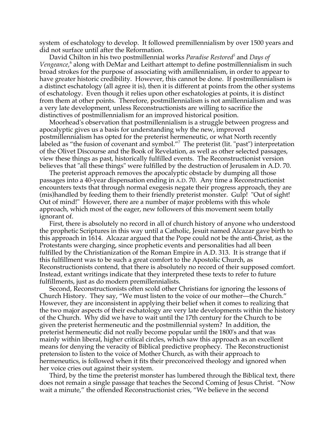system of eschatology to develop. It followed premillennialism by over 1500 years and did not surface until after the Reformation.

David Chilton in his two postmillennial works *Paradise Restored5* and *Days of* Vengeance,<sup>6</sup> along with DeMar and Leithart attempt to define postmillennialism in such broad strokes for the purpose of associating with amillennialism, in order to appear to have greater historic credibility. However, this cannot be done. If postmillennialism is a distinct eschatology (all agree it is), then it is different at points from the other systems of eschatology. Even though it relies upon other eschatologies at points, it is distinct from them at other points. Therefore, postmillennialism is not amillennialism and was a very late development, unless Reconstructionists are willing to sacrifice the distinctives of postmillennialism for an improved historical position.

Moorhead's observation that postmillennialism is a struggle between progress and apocalyptic gives us a basis for understanding why the new, improved postmillennialism has opted for the preterist hermeneutic, or what North recently labeled as "the fusion of covenant and symbol."7 The preterist (lit. "past") interpretation of the Olivet Discourse and the Book of Revelation, as well as other selected passages, view these things as past, historically fulfilled events. The Reconstructionist version believes that "all these things" were fulfilled by the destruction of Jerusalem in A.D. 70.

The preterist approach removes the apocalyptic obstacle by dumping all those passages into a 40-year dispensation ending in A.D. 70. Any time a Reconstructionist encounters texts that through normal exegesis negate their progress approach, they are (mis)handled by feeding them to their friendly preterist monster. Gulp! "Out of sight! Out of mind!" However, there are a number of major problems with this whole approach, which most of the eager, new followers of this movement seem totally ignorant of.

First, there is absolutely no record in all of church history of anyone who understood the prophetic Scriptures in this way until a Catholic, Jesuit named Alcazar gave birth to this approach in 1614. Alcazar argued that the Pope could not be the anti-Christ, as the Protestants were charging, since prophetic events and personalities had all been fulfilled by the Christianization of the Roman Empire in A.D. 313. It is strange that if this fulfillment was to be such a great comfort to the Apostolic Church, as Reconstructionists contend, that there is absolutely no record of their supposed comfort. Instead, extant writings indicate that they interpreted these texts to refer to future fulfillments, just as do modern premillennialists.

Second, Reconstructionists often scold other Christians for ignoring the lessons of Church History. They say, "We must listen to the voice of our mother—the Church." However, they are inconsistent in applying their belief when it comes to realizing that the two major aspects of their eschatology are very late developments within the history of the Church. Why did we have to wait until the 17th century for the Church to be given the preterist hermeneutic and the postmillennial system? In addition, the preterist hermeneutic did not really become popular until the 1800's and that was mainly within liberal, higher critical circles, which saw this approach as an excellent means for denying the veracity of Biblical predictive prophecy. The Reconstructionist pretension to listen to the voice of Mother Church, as with their approach to hermeneutics, is followed when it fits their preconceived theology and ignored when her voice cries out against their system.

Third, by the time the preterist monster has lumbered through the Biblical text, there does not remain a single passage that teaches the Second Coming of Jesus Christ. "Now wait a minute," the offended Reconstructionist cries, "We believe in the second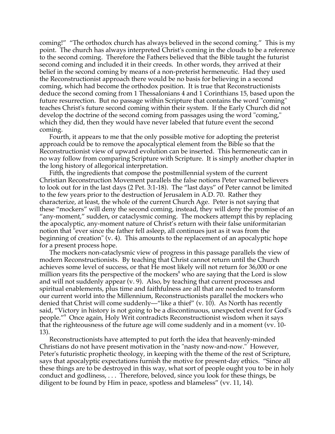coming!" "The orthodox church has always believed in the second coming." This is my point. The church has always interpreted Christ's coming in the clouds to be a reference to the second coming. Therefore the Fathers believed that the Bible taught the futurist second coming and included it in their creeds. In other words, they arrived at their belief in the second coming by means of a non-preterist hermeneutic. Had they used the Reconstructionist approach there would be no basis for believing in a second coming, which had become the orthodox position. It is true that Reconstructionists deduce the second coming from 1 Thessalonians 4 and 1 Corinthians 15, based upon the future resurrection. But no passage within Scripture that contains the word "coming" teaches Christ's future second coming within their system. If the Early Church did not develop the doctrine of the second coming from passages using the word "coming," which they did, then they would have never labeled that future event the second coming.

Fourth, it appears to me that the only possible motive for adopting the preterist approach could be to remove the apocalyptical element from the Bible so that the Reconstructionist view of upward evolution can be inserted. This hermeneutic can in no way follow from comparing Scripture with Scripture. It is simply another chapter in the long history of allegorical interpretation.

Fifth, the ingredients that compose the postmillennial system of the current Christian Reconstruction Movement parallels the false notions Peter warned believers to look out for in the last days (2 Pet. 3:1-18). The "last days" of Peter cannot be limited to the few years prior to the destruction of Jerusalem in A.D. 70. Rather they characterize, at least, the whole of the current Church Age. Peter is not saying that these "mockers" will deny the second coming, instead, they will deny the promise of an "any-moment," sudden, or cataclysmic coming. The mockers attempt this by replacing the apocalyptic, any-moment nature of Christ's return with their false uniformitarian notion that "ever since the father fell asleep, all continues just as it was from the beginning of creation" (v. 4). This amounts to the replacement of an apocalyptic hope for a present process hope.

The mockers non-cataclysmic view of progress in this passage parallels the view of modern Reconstructionists. By teaching that Christ cannot return until the Church achieves some level of success, or that He most likely will not return for 36,000 or one million years fits the perspective of the mockers $^8$  who are saying that the Lord is slow and will not suddenly appear (v. 9). Also, by teaching that current processes and spiritual enablements, plus time and faithfulness are all that are needed to transform our current world into the Millennium, Reconstructionists parallel the mockers who denied that Christ will come suddenly—"like a thief" (v. 10). As North has recently said, "Victory in history is not going to be a discontinuous, unexpected event for God's people."9 Once again, Holy Writ contradicts Reconstructionist wisdom when it says that the righteousness of the future age will come suddenly and in a moment (vv. 10- 13).

Reconstructionists have attempted to put forth the idea that heavenly-minded Christians do not have present motivation in the "nasty now-and-now." However, Peter's futuristic prophetic theology, in keeping with the theme of the rest of Scripture, says that apocalyptic expectations furnish the motive for present-day ethics. "Since all these things are to be destroyed in this way, what sort of people ought you to be in holy conduct and godliness, . . . Therefore, beloved, since you look for these things, be diligent to be found by Him in peace, spotless and blameless" (vv. 11, 14).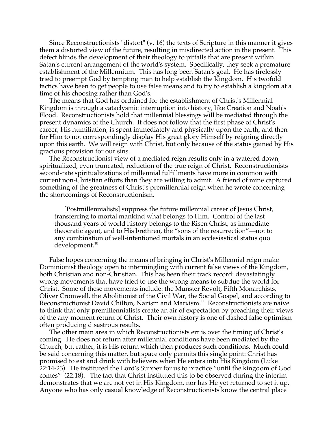Since Reconstructionists "distort" (v. 16) the texts of Scripture in this manner it gives them a distorted view of the future, resulting in misdirected action in the present. This defect blinds the development of their theology to pitfalls that are present within Satan's current arrangement of the world's system. Specifically, they seek a premature establishment of the Millennium. This has long been Satan's goal. He has tirelessly tried to preempt God by tempting man to help establish the Kingdom. His twofold tactics have been to get people to use false means and to try to establish a kingdom at a time of his choosing rather than God's.

The means that God has ordained for the establishment of Christ's Millennial Kingdom is through a cataclysmic interruption into history, like Creation and Noah's Flood. Reconstructionists hold that millennial blessings will be mediated through the present dynamics of the Church. It does not follow that the first phase of Christ's career, His humiliation, is spent immediately and physically upon the earth, and then for Him to not correspondingly display His great glory Himself by reigning directly upon this earth. We will reign with Christ, but only because of the status gained by His gracious provision for our sins.

The Reconstructionist view of a mediated reign results only in a watered down, spiritualized, even truncated, reduction of the true reign of Christ. Reconstructionists second-rate spiritualizations of millennial fulfillments have more in common with current non-Christian efforts than they are willing to admit. A friend of mine captured something of the greatness of Christ's premillennial reign when he wrote concerning the shortcomings of Reconstructionism.

[Postmillennialists] suppress the future millennial career of Jesus Christ, transferring to mortal mankind what belongs to Him. Control of the last thousand years of world history belongs to the Risen Christ, as immediate theocratic agent, and to His brethren, the "sons of the resurrection"—not to any combination of well-intentioned mortals in an ecclesiastical status quo development.<sup>10</sup>

False hopes concerning the means of bringing in Christ's Millennial reign make Dominionist theology open to intermingling with current false views of the Kingdom, both Christian and non-Christian. This has been their track record: devastatingly wrong movements that have tried to use the wrong means to subdue the world for Christ. Some of these movements include: the Munster Revolt, Fifth Monarchists, Oliver Cromwell, the Abolitionist of the Civil War, the Social Gospel, and according to Reconstructionist David Chilton, Nazism and Marxism.<sup>11</sup> Reconstructionists are naive to think that only premillennialists create an air of expectation by preaching their views of the any-moment return of Christ. Their own history is one of dashed false optimism often producing disastrous results.

The other main area in which Reconstructionists err is over the timing of Christ's coming. He does not return after millennial conditions have been mediated by the Church, but rather, it is His return which then produces such conditions. Much could be said concerning this matter, but space only permits this single point: Christ has promised to eat and drink with believers when He enters into His Kingdom (Luke 22:14-23). He instituted the Lord's Supper for us to practice "until the kingdom of God comes" (22:18). The fact that Christ instituted this to be observed during the interim demonstrates that we are not yet in His Kingdom, nor has He yet returned to set it up. Anyone who has only casual knowledge of Reconstructionists know the central place